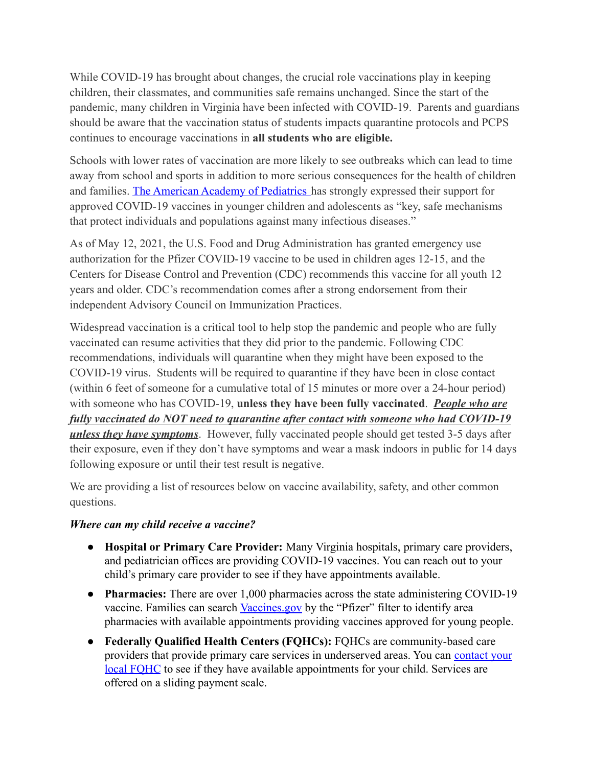While COVID-19 has brought about changes, the crucial role vaccinations play in keeping children, their classmates, and communities safe remains unchanged. Since the start of the pandemic, many children in Virginia have been infected with COVID-19. Parents and guardians should be aware that the vaccination status of students impacts quarantine protocols and PCPS continues to encourage vaccinations in **all students who are eligible.**

Schools with lower rates of vaccination are more likely to see outbreaks which can lead to time away from school and sports in addition to more serious consequences for the health of children and families. [The American Academy of Pediatrics](https://services.aap.org/en/pages/2019-novel-coronavirus-covid-19-infections/clinical-guidance/interim-guidance-for-covid-19-vaccination-in-children-and-adolescents/) has strongly expressed their support for approved COVID-19 vaccines in younger children and adolescents as "key, safe mechanisms that protect individuals and populations against many infectious diseases."

As of May 12, 2021, the U.S. Food and Drug Administration has granted emergency use authorization for the Pfizer COVID-19 vaccine to be used in children ages 12-15, and the Centers for Disease Control and Prevention (CDC) recommends this vaccine for all youth 12 years and older. CDC's recommendation comes after a strong endorsement from their independent Advisory Council on Immunization Practices.

Widespread vaccination is a critical tool to help stop the pandemic and people who are fully vaccinated can resume activities that they did prior to the pandemic. Following CDC recommendations, individuals will quarantine when they might have been exposed to the COVID-19 virus. Students will be required to quarantine if they have been in close contact (within 6 feet of someone for a cumulative total of 15 minutes or more over a 24-hour period) with someone who has COVID-19, **unless they have been fully vaccinated**. *People who are fully vaccinated do NOT need to quarantine after contact with someone who had COVID-19 unless they have symptoms*. However, fully vaccinated people should get tested 3-5 days after their exposure, even if they don't have symptoms and wear a mask indoors in public for 14 days following exposure or until their test result is negative.

We are providing a list of resources below on vaccine availability, safety, and other common questions.

## *Where can my child receive a vaccine?*

- **● Hospital or Primary Care Provider:** Many Virginia hospitals, primary care providers, and pediatrician offices are providing COVID-19 vaccines. You can reach out to your child's primary care provider to see if they have appointments available.
- **● Pharmacies:** There are over 1,000 pharmacies across the state administering COVID-19 vaccine. Families can search [Vaccines.gov](https://www.vaccines.gov/search/) by the "Pfizer" filter to identify area pharmacies with available appointments providing vaccines approved for young people.
- **● Federally Qualified Health Centers (FQHCs):** FQHCs are community-based care providers that provide primary care services in underserved areas. You can [contact your](https://data.hrsa.gov/data/reports/datagrid?gridName=FQHCs) local FOHC to see if they have available appointments for your child. Services are offered on a sliding payment scale.